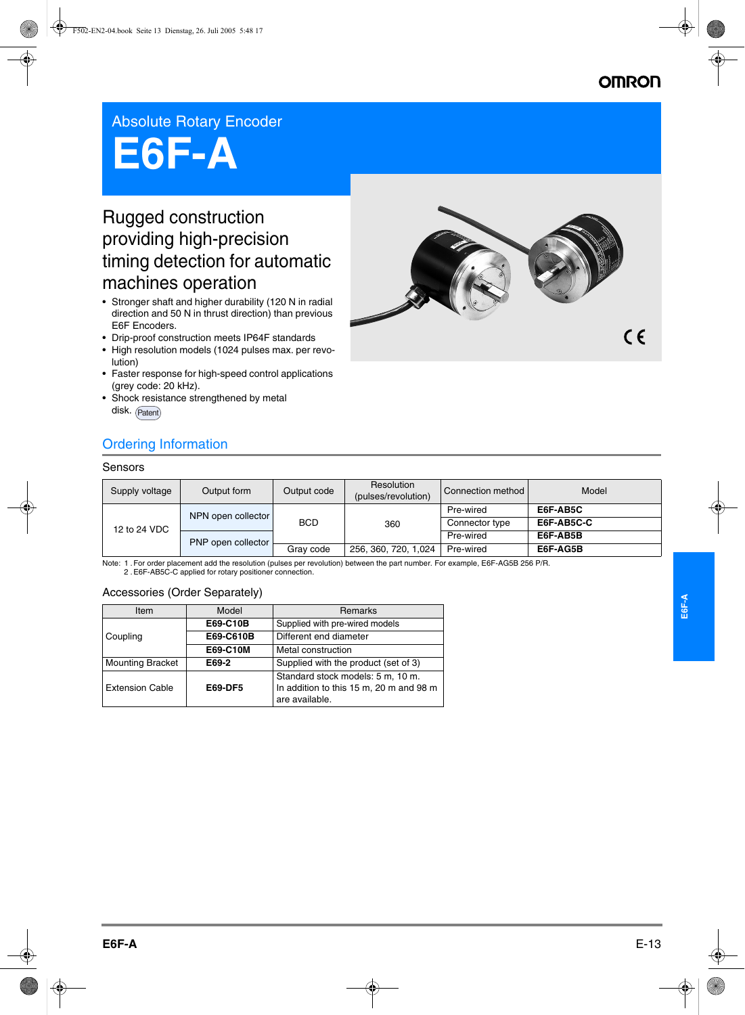# **OMRO**

 $\epsilon$ 

## Absolute Rotary Encoder

# **E6F-A**

# Rugged construction providing high-precision timing detection for automatic machines operation

- Stronger shaft and higher durability (120 N in radial direction and 50 N in thrust direction) than previous E6F Encoders.
- Drip-proof construction meets IP64F standards
- High resolution models (1024 pulses max. per revolution)
- Faster response for high-speed control applications (grey code: 20 kHz).
- Shock resistance strengthened by metal disk. (Patent)



#### Sensors

| Supply voltage | Output form        | Output code | Resolution<br>(pulses/revolution) | Connection method | Model      |
|----------------|--------------------|-------------|-----------------------------------|-------------------|------------|
| 12 to 24 VDC   | NPN open collector | <b>BCD</b>  | 360                               | Pre-wired         | E6F-AB5C   |
|                |                    |             |                                   | Connector type    | E6F-AB5C-C |
|                | PNP open collector |             |                                   | Pre-wired         | E6F-AB5B   |
|                |                    | Gray code   | 256, 360, 720, 1,024              | Pre-wired         | E6F-AG5B   |

Note: 1 .For order placement add the resolution (pulses per revolution) between the part number. For example, E6F-AG5B 256 P/R. 2 .E6F-AB5C-C applied for rotary positioner connection.

#### Accessories (Order Separately)

| Item                    | Model          | <b>Remarks</b>                                                                                 |  |
|-------------------------|----------------|------------------------------------------------------------------------------------------------|--|
|                         | E69-C10B       | Supplied with pre-wired models                                                                 |  |
| Coupling                | E69-C610B      | Different end diameter                                                                         |  |
|                         | E69-C10M       | Metal construction                                                                             |  |
| <b>Mounting Bracket</b> | E69-2          | Supplied with the product (set of 3)                                                           |  |
| <b>Extension Cable</b>  | <b>E69-DF5</b> | Standard stock models: 5 m, 10 m.<br>In addition to this 15 m, 20 m and 98 m<br>are available. |  |